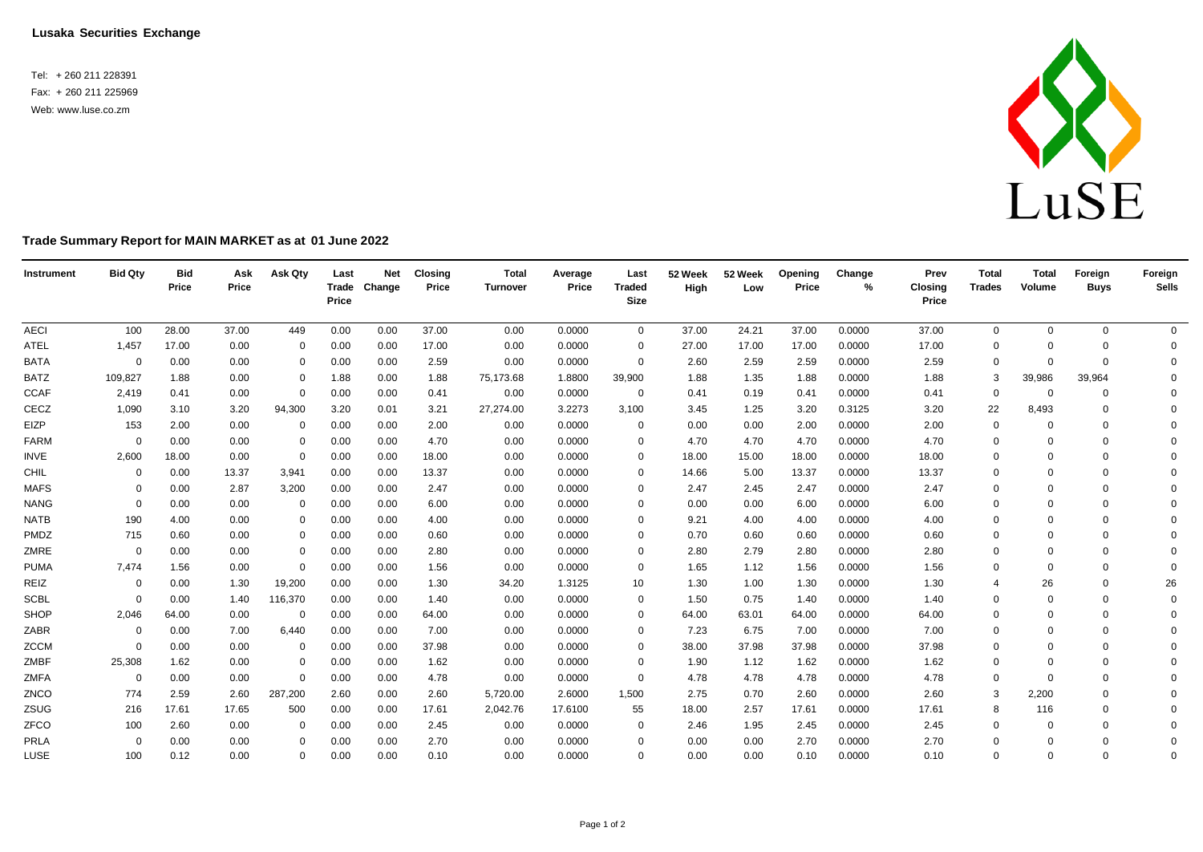**Lusaka Securities Exchange**

Tel: + 260 211 228391 Fax: + 260 211 225969 Web: [www.luse.co.zm](http://www.luse.co.zm/)



## **Trade Summary Report for MAIN MARKET as at 01 June 2022**

| Instrument  | <b>Bid Qty</b> | <b>Bid</b><br>Price | Ask<br>Price | Ask Qty     | Last<br>Price | <b>Net</b><br>Trade Change | <b>Closing</b><br>Price | <b>Total</b><br><b>Turnover</b> | Average<br>Price | Last<br><b>Traded</b><br><b>Size</b> | 52 Week<br>High | 52 Week<br>Low | Opening<br>Price | Change<br>% | Prev<br><b>Closing</b><br>Price | <b>Total</b><br><b>Trades</b> | <b>Total</b><br>Volume | Foreign<br><b>Buys</b> | Foreign<br><b>Sells</b> |
|-------------|----------------|---------------------|--------------|-------------|---------------|----------------------------|-------------------------|---------------------------------|------------------|--------------------------------------|-----------------|----------------|------------------|-------------|---------------------------------|-------------------------------|------------------------|------------------------|-------------------------|
| <b>AECI</b> | 100            | 28.00               | 37.00        | 449         | 0.00          | 0.00                       | 37.00                   | 0.00                            | 0.0000           | $\mathbf{0}$                         | 37.00           | 24.21          | 37.00            | 0.0000      | 37.00                           | $\mathbf 0$                   | $\mathbf{0}$           | 0                      | $\overline{0}$          |
| ATEL        | 1,457          | 17.00               | 0.00         | $\mathbf 0$ | 0.00          | 0.00                       | 17.00                   | 0.00                            | 0.0000           | $\Omega$                             | 27.00           | 17.00          | 17.00            | 0.0000      | 17.00                           | $\mathbf 0$                   | $\Omega$               | $\Omega$               | $\mathbf{0}$            |
| <b>BATA</b> | $\mathbf 0$    | 0.00                | 0.00         | $\mathbf 0$ | 0.00          | 0.00                       | 2.59                    | 0.00                            | 0.0000           | 0                                    | 2.60            | 2.59           | 2.59             | 0.0000      | 2.59                            | $\mathbf 0$                   | $\Omega$               | $\mathbf 0$            | $\Omega$                |
| <b>BATZ</b> | 109,827        | 1.88                | 0.00         | 0           | 1.88          | 0.00                       | 1.88                    | 75,173.68                       | 1.8800           | 39,900                               | 1.88            | 1.35           | 1.88             | 0.0000      | 1.88                            | 3                             | 39,986                 | 39,964                 | $\Omega$                |
| <b>CCAF</b> | 2,419          | 0.41                | 0.00         | $\mathbf 0$ | 0.00          | 0.00                       | 0.41                    | 0.00                            | 0.0000           | $\mathbf 0$                          | 0.41            | 0.19           | 0.41             | 0.0000      | 0.41                            | $\mathbf 0$                   | $\overline{0}$         | 0                      | $\Omega$                |
| CECZ        | 1,090          | 3.10                | 3.20         | 94,300      | 3.20          | 0.01                       | 3.21                    | 27,274.00                       | 3.2273           | 3,100                                | 3.45            | 1.25           | 3.20             | 0.3125      | 3.20                            | 22                            | 8,493                  | $\mathbf 0$            | $\Omega$                |
| EIZP        | 153            | 2.00                | 0.00         | $\mathbf 0$ | 0.00          | 0.00                       | 2.00                    | 0.00                            | 0.0000           | 0                                    | 0.00            | 0.00           | 2.00             | 0.0000      | 2.00                            | $\mathbf 0$                   |                        | $\Omega$               | $\Omega$                |
| <b>FARM</b> | $\Omega$       | 0.00                | 0.00         | $\mathbf 0$ | 0.00          | 0.00                       | 4.70                    | 0.00                            | 0.0000           | $\Omega$                             | 4.70            | 4.70           | 4.70             | 0.0000      | 4.70                            | $\mathbf 0$                   | $\Omega$               | $\Omega$               | $\Omega$                |
| <b>INVE</b> | 2,600          | 18.00               | 0.00         | $\mathbf 0$ | 0.00          | 0.00                       | 18.00                   | 0.00                            | 0.0000           | $\Omega$                             | 18.00           | 15.00          | 18.00            | 0.0000      | 18.00                           | $\mathbf 0$                   | $\Omega$               | $\mathbf 0$            | $\Omega$                |
| CHIL        | $\mathbf 0$    | 0.00                | 13.37        | 3,941       | 0.00          | 0.00                       | 13.37                   | 0.00                            | 0.0000           | $\Omega$                             | 14.66           | 5.00           | 13.37            | 0.0000      | 13.37                           | $\Omega$                      | $\Omega$               | $\Omega$               | $\Omega$                |
| <b>MAFS</b> | $\mathbf 0$    | 0.00                | 2.87         | 3,200       | 0.00          | 0.00                       | 2.47                    | 0.00                            | 0.0000           | $\Omega$                             | 2.47            | 2.45           | 2.47             | 0.0000      | 2.47                            | $\mathbf 0$                   | $\Omega$               | $\Omega$               | $\Omega$                |
| <b>NANG</b> | $\Omega$       | 0.00                | 0.00         | $\mathbf 0$ | 0.00          | 0.00                       | 6.00                    | 0.00                            | 0.0000           | $\Omega$                             | 0.00            | 0.00           | 6.00             | 0.0000      | 6.00                            | $\Omega$                      | $\Omega$               | $\Omega$               | $\Omega$                |
| <b>NATB</b> | 190            | 4.00                | 0.00         | $\mathbf 0$ | 0.00          | 0.00                       | 4.00                    | 0.00                            | 0.0000           | $\Omega$                             | 9.21            | 4.00           | 4.00             | 0.0000      | 4.00                            | $\mathbf 0$                   | $\Omega$               | $\Omega$               | $\Omega$                |
| PMDZ        | 715            | 0.60                | 0.00         | $\mathbf 0$ | 0.00          | 0.00                       | 0.60                    | 0.00                            | 0.0000           | $\Omega$                             | 0.70            | 0.60           | 0.60             | 0.0000      | 0.60                            | $\mathbf 0$                   | $\Omega$               | $\Omega$               | $\Omega$                |
| ZMRE        | $\Omega$       | 0.00                | 0.00         | $\mathbf 0$ | 0.00          | 0.00                       | 2.80                    | 0.00                            | 0.0000           | $\Omega$                             | 2.80            | 2.79           | 2.80             | 0.0000      | 2.80                            | $\Omega$                      | $\Omega$               | $\Omega$               | $\Omega$                |
| <b>PUMA</b> | 7,474          | 1.56                | 0.00         | $\mathbf 0$ | 0.00          | 0.00                       | 1.56                    | 0.00                            | 0.0000           | 0                                    | 1.65            | 1.12           | 1.56             | 0.0000      | 1.56                            | $\mathbf 0$                   | $\Omega$               | $\Omega$               | $\Omega$                |
| REIZ        | $\mathbf 0$    | 0.00                | 1.30         | 19,200      | 0.00          | 0.00                       | 1.30                    | 34.20                           | 1.3125           | 10                                   | 1.30            | 1.00           | 1.30             | 0.0000      | 1.30                            | 4                             | 26                     | $\Omega$               | 26                      |
| <b>SCBL</b> | $\Omega$       | 0.00                | 1.40         | 116,370     | 0.00          | 0.00                       | 1.40                    | 0.00                            | 0.0000           | 0                                    | 1.50            | 0.75           | 1.40             | 0.0000      | 1.40                            | $\mathbf 0$                   | $\Omega$               | $\Omega$               | $\Omega$                |
| SHOP        | 2,046          | 64.00               | 0.00         | $\mathbf 0$ | 0.00          | 0.00                       | 64.00                   | 0.00                            | 0.0000           | 0                                    | 64.00           | 63.01          | 64.00            | 0.0000      | 64.00                           | $\mathbf 0$                   | $\Omega$               | $\mathbf 0$            | 0                       |
| ZABR        | $\mathbf 0$    | 0.00                | 7.00         | 6,440       | 0.00          | 0.00                       | 7.00                    | 0.00                            | 0.0000           | $\Omega$                             | 7.23            | 6.75           | 7.00             | 0.0000      | 7.00                            | $\mathbf 0$                   | $\Omega$               | $\Omega$               | $\Omega$                |
| ZCCM        | $\Omega$       | 0.00                | 0.00         | $\mathbf 0$ | 0.00          | 0.00                       | 37.98                   | 0.00                            | 0.0000           | $\Omega$                             | 38.00           | 37.98          | 37.98            | 0.0000      | 37.98                           | $\mathbf 0$                   | $\Omega$               | $\Omega$               | $\Omega$                |
| ZMBF        | 25,308         | 1.62                | 0.00         | $\mathbf 0$ | 0.00          | 0.00                       | 1.62                    | 0.00                            | 0.0000           | 0                                    | 1.90            | 1.12           | 1.62             | 0.0000      | 1.62                            | $\mathbf 0$                   | $\Omega$               | $\mathbf 0$            | $\Omega$                |
| <b>ZMFA</b> | $\mathbf 0$    | 0.00                | 0.00         | $\mathbf 0$ | 0.00          | 0.00                       | 4.78                    | 0.00                            | 0.0000           | 0                                    | 4.78            | 4.78           | 4.78             | 0.0000      | 4.78                            | 0                             |                        | $\Omega$               | $\Omega$                |
| ZNCO        | 774            | 2.59                | 2.60         | 287,200     | 2.60          | 0.00                       | 2.60                    | 5,720.00                        | 2.6000           | 1,500                                | 2.75            | 0.70           | 2.60             | 0.0000      | 2.60                            | 3                             | 2,200                  | $\Omega$               | $\Omega$                |
| ZSUG        | 216            | 17.61               | 17.65        | 500         | 0.00          | 0.00                       | 17.61                   | 2,042.76                        | 17.6100          | 55                                   | 18.00           | 2.57           | 17.61            | 0.0000      | 17.61                           | 8                             | 116                    | $\Omega$               | $\Omega$                |
| ZFCO        | 100            | 2.60                | 0.00         | $\mathbf 0$ | 0.00          | 0.00                       | 2.45                    | 0.00                            | 0.0000           | 0                                    | 2.46            | 1.95           | 2.45             | 0.0000      | 2.45                            | $\mathbf 0$                   | $\Omega$               | $\Omega$               | $\Omega$                |
| PRLA        | $\Omega$       | 0.00                | 0.00         | $\Omega$    | 0.00          | 0.00                       | 2.70                    | 0.00                            | 0.0000           | $\Omega$                             | 0.00            | 0.00           | 2.70             | 0.0000      | 2.70                            | $\Omega$                      | $\Omega$               | $\Omega$               | $\mathbf 0$             |
| LUSE        | 100            | 0.12                | 0.00         | $\Omega$    | 0.00          | 0.00                       | 0.10                    | 0.00                            | 0.0000           | $\Omega$                             | 0.00            | 0.00           | 0.10             | 0.0000      | 0.10                            | $\mathbf 0$                   | $\Omega$               | $\Omega$               | $\Omega$                |